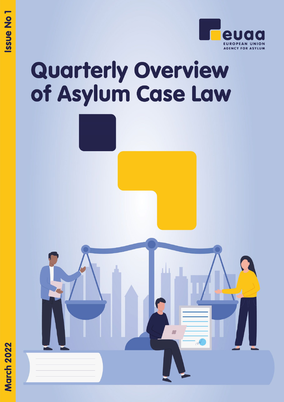# **Quarterly Overview** of Asylum Case Law

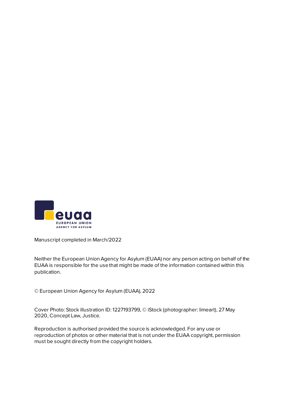

Manuscript completed in March/2022

Neither the European Union Agency for Asylum (EUAA) nor any person acting on behalf of the EUAA is responsible for the use that might be made of the information contained within this publication.

© European Union Agency for Asylum (EUAA), 2022

Cover Photo: Stock illustration ID: 1227193799, © iStock (photographer: limeart), 27 May 2020, Concept Law, Justice.

Reproduction is authorised provided the source is acknowledged. For any use or reproduction of photos or other material that is not under the EUAA copyright, permission must be sought directly from the copyright holders.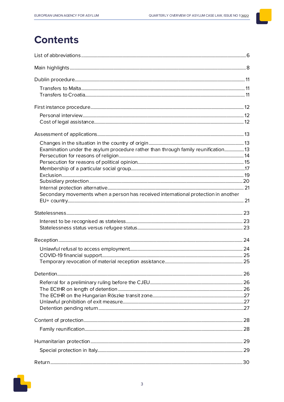# **Contents**

| Examination under the asylum procedure rather than through family reunification 13 |  |
|------------------------------------------------------------------------------------|--|
|                                                                                    |  |
|                                                                                    |  |
|                                                                                    |  |
|                                                                                    |  |
| Secondary movements when a person has received international protection in another |  |
|                                                                                    |  |
|                                                                                    |  |
|                                                                                    |  |
|                                                                                    |  |
|                                                                                    |  |
|                                                                                    |  |
|                                                                                    |  |
|                                                                                    |  |
|                                                                                    |  |
|                                                                                    |  |
|                                                                                    |  |
|                                                                                    |  |
|                                                                                    |  |
|                                                                                    |  |
|                                                                                    |  |
|                                                                                    |  |
|                                                                                    |  |
|                                                                                    |  |
|                                                                                    |  |

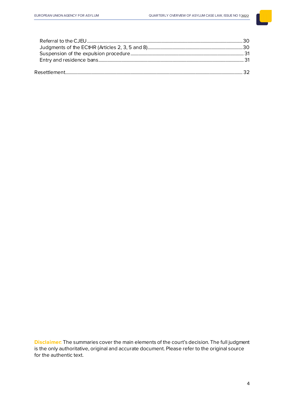**Disclaimer:** The summaries cover the main elements of the court's decision. The full judgment is the only authoritative, original and accurate document. Please refer to the original source for the authentic text.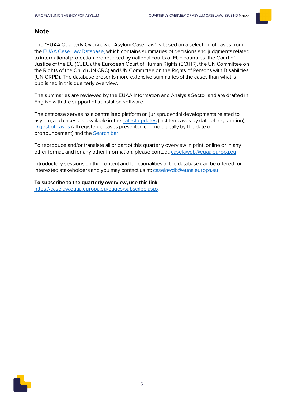# **Note**

The "EUAA Quarterly Overview of Asylum Case Law"is based on a selection of cases from the [EUAA Case Law Database,](https://caselaw.easo.europa.eu/Pages/default.aspx) which contains summaries of decisions and judgments related to international protection pronounced by national courts of EU+ countries, the Court of Justice of the EU (CJEU), the European Court of Human Rights (ECtHR), the UN Committee on the Rights of the Child (UN CRC) and UN Committee on the Rights of Persons with Disabilities (UN CRPD). The database presents more extensive summaries of the cases than what is published in this quarterly overview.

The summaries are reviewed by the EUAA Information and Analysis Sector and are drafted in English with the support of translation software.

The database serves as a centralised platform on jurisprudential developments related to asylum, and cases are available in th[e Latest updates](https://caselaw.easo.europa.eu/Pages/latestupdates.aspx) (last ten cases by date of registration), [Digest of cases](https://caselaw.euaa.europa.eu/Pages/digest.aspx) (all registered cases presented chronologically by the date of pronouncement) and th[e Search bar](https://caselaw.easo.europa.eu/Pages/search.aspx).

To reproduce and/or translate all or part of this quarterly overview in print, online or in any other format, and for any other information, please contact[: caselawdb@euaa.europa.eu](mailto:caselawdb@euaa.europa.eu)

Introductory sessions on the content and functionalities of the database can be offered for interested stakeholders and you may contact us at[: caselawdb@euaa.europa.eu](mailto:caselawdb@euaa.europa.eu)

**To subscribe to the quarterly overview, use this link**: <https://caselaw.euaa.europa.eu/pages/subscribe.aspx>

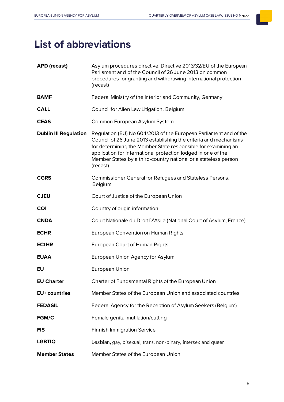# <span id="page-5-0"></span>**List of abbreviations**

| <b>APD</b> (recast)          | Asylum procedures directive. Directive 2013/32/EU of the European<br>Parliament and of the Council of 26 June 2013 on common<br>procedures for granting and withdrawing international protection<br>(recast)                                                                                                                                           |
|------------------------------|--------------------------------------------------------------------------------------------------------------------------------------------------------------------------------------------------------------------------------------------------------------------------------------------------------------------------------------------------------|
| <b>BAMF</b>                  | Federal Ministry of the Interior and Community, Germany                                                                                                                                                                                                                                                                                                |
| <b>CALL</b>                  | Council for Alien Law Litigation, Belgium                                                                                                                                                                                                                                                                                                              |
| <b>CEAS</b>                  | Common European Asylum System                                                                                                                                                                                                                                                                                                                          |
| <b>Dublin III Regulation</b> | Regulation (EU) No 604/2013 of the European Parliament and of the<br>Council of 26 June 2013 establishing the criteria and mechanisms<br>for determining the Member State responsible for examining an<br>application for international protection lodged in one of the<br>Member States by a third-country national or a stateless person<br>(recast) |
| <b>CGRS</b>                  | Commissioner General for Refugees and Stateless Persons,<br>Belgium                                                                                                                                                                                                                                                                                    |
| <b>CJEU</b>                  | Court of Justice of the European Union                                                                                                                                                                                                                                                                                                                 |
| <b>COI</b>                   | Country of origin information                                                                                                                                                                                                                                                                                                                          |
| <b>CNDA</b>                  | Court Nationale du Droit D'Asile (National Court of Asylum, France)                                                                                                                                                                                                                                                                                    |
| <b>ECHR</b>                  | European Convention on Human Rights                                                                                                                                                                                                                                                                                                                    |
| <b>ECtHR</b>                 | <b>European Court of Human Rights</b>                                                                                                                                                                                                                                                                                                                  |
| <b>EUAA</b>                  | European Union Agency for Asylum                                                                                                                                                                                                                                                                                                                       |
| EU                           | European Union                                                                                                                                                                                                                                                                                                                                         |
| <b>EU Charter</b>            | Charter of Fundamental Rights of the European Union                                                                                                                                                                                                                                                                                                    |
| <b>EU+ countries</b>         | Member States of the European Union and associated countries                                                                                                                                                                                                                                                                                           |
| <b>FEDASIL</b>               | Federal Agency for the Reception of Asylum Seekers (Belgium)                                                                                                                                                                                                                                                                                           |
| FGM/C                        | Female genital mutilation/cutting                                                                                                                                                                                                                                                                                                                      |
| <b>FIS</b>                   | <b>Finnish Immigration Service</b>                                                                                                                                                                                                                                                                                                                     |
| <b>LGBTIQ</b>                | Lesbian, gay, bisexual, trans, non-binary, intersex and queer                                                                                                                                                                                                                                                                                          |
| <b>Member States</b>         | Member States of the European Union                                                                                                                                                                                                                                                                                                                    |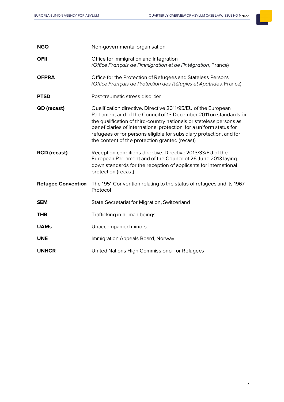| <b>NGO</b>                | Non-governmental organisation                                                                                                                                                                                                                                                                                                                                                                               |
|---------------------------|-------------------------------------------------------------------------------------------------------------------------------------------------------------------------------------------------------------------------------------------------------------------------------------------------------------------------------------------------------------------------------------------------------------|
| <b>OFII</b>               | Office for Immigration and Integration<br>(Office Français de l'Immigration et de l'Intégration, France)                                                                                                                                                                                                                                                                                                    |
| <b>OFPRA</b>              | Office for the Protection of Refugees and Stateless Persons<br>(Office Français de Protection des Réfugiés et Apatrides, France)                                                                                                                                                                                                                                                                            |
| <b>PTSD</b>               | Post-traumatic stress disorder                                                                                                                                                                                                                                                                                                                                                                              |
| <b>QD</b> (recast)        | Qualification directive. Directive 2011/95/EU of the European<br>Parliament and of the Council of 13 December 2011 on standards for<br>the qualification of third-country nationals or stateless persons as<br>beneficiaries of international protection, for a uniform status for<br>refugees or for persons eligible for subsidiary protection, and for<br>the content of the protection granted (recast) |
| <b>RCD</b> (recast)       | Reception conditions directive. Directive 2013/33/EU of the<br>European Parliament and of the Council of 26 June 2013 laying<br>down standards for the reception of applicants for international<br>protection (recast)                                                                                                                                                                                     |
| <b>Refugee Convention</b> | The 1951 Convention relating to the status of refugees and its 1967<br>Protocol                                                                                                                                                                                                                                                                                                                             |
| <b>SEM</b>                | State Secretariat for Migration, Switzerland                                                                                                                                                                                                                                                                                                                                                                |
| <b>THB</b>                | Trafficking in human beings                                                                                                                                                                                                                                                                                                                                                                                 |
| <b>UAMs</b>               | Unaccompanied minors                                                                                                                                                                                                                                                                                                                                                                                        |
| <b>UNE</b>                | Immigration Appeals Board, Norway                                                                                                                                                                                                                                                                                                                                                                           |
| <b>UNHCR</b>              | United Nations High Commissioner for Refugees                                                                                                                                                                                                                                                                                                                                                               |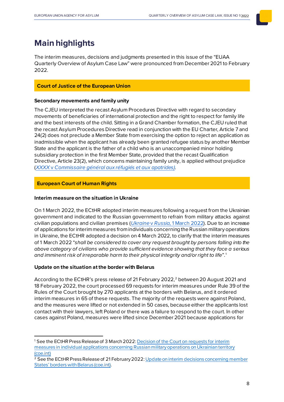# <span id="page-7-0"></span>**Main highlights**

The interim measures, decisions and judgments presented in this issue of the "EUAA Quarterly Overview of Asylum Case Law" were pronounced from December 2021 to February 2022.

# **Court of Justice of the European Union**

# **Secondary movements and family unity**

The CJEU interpreted the recast Asylum Procedures Directive with regard to secondary movements of beneficiaries of international protection and the right to respect for family life and the best interests of the child. Sitting in a Grand Chamber formation, the CJEU ruled that the recast Asylum Procedures Directive read in conjunction with the EU Charter, Article 7 and 24(2) does not preclude a Member State from exercising the option to reject an application as inadmissible when the applicant has already been granted refugee status by another Member State and the applicant is the father of a child who is an unaccompanied minor holding subsidiary protection in the first Member State, provided that the recast Qualification Directive, Article 23(2), which concerns maintaining family unity, is applied without prejudice (*XXXX* v *[Commissaire](https://caselaw.euaa.europa.eu/pages/viewcaselaw.aspx?CaseLawID=2374) général aux réfugiés et aux apatrides)*.

# **European Court of Human Rights**

# **Interim measure on the situation in Ukraine**

On 1 March 2022, the ECtHR adopted interim measures following a request from the Ukrainian government and indicated to the Russian government to refrain from military attacks against civilian populations and civilian premises (*[Ukraine](https://caselaw.euaa.europa.eu/pages/viewcaselaw.aspx?CaseLawID=2408)* v *Russia,* 1 March 2022). Due to an increase of applications for interim measures from individuals concerning the Russian military operations in Ukraine, the ECtHR adopted a decision on 4 March 2022, to clarify that the interim measures of 1 March 2022 "*shall be considered to cover any request brought by persons falling into the above category of civilians who provide sufficient evidence showing that they face a serious and imminent risk of irreparable harm to their physical integrity and/or right to life*".[1](#page-7-1)

# **Update on the situation at the border with Belarus**

According to the ECtHR's press release of 21 February 2022, [2](#page-7-2) between 20 August 2021 and 18 February 2022, the court processed 69 requests for interim measures under Rule 39 of the Rules of the Court brought by 270 applicants at the borders with Belarus, and it ordered interim measures in 65 of these requests. The majority of the requests were against Poland, and the measures were lifted or not extended in 50 cases, because either the applicants lost contact with their lawyers, left Poland or there was a failure to respond to the court. In other cases against Poland, measures were lifted since December 2021 because applications for

<span id="page-7-1"></span><sup>1</sup> See the ECtHR Press Release of 3 March 2022[: Decision of the Court on requests for interim](https://hudoc.echr.coe.int/eng-press#%7B%22itemid%22:%5B%22003-7277548-9913621%22%5D%7D)  [measures in individual applications concerning Russian military operations on Ukrainian territory](https://hudoc.echr.coe.int/eng-press#%7B%22itemid%22:%5B%22003-7277548-9913621%22%5D%7D)  [\(coe.int\)](https://hudoc.echr.coe.int/eng-press#%7B%22itemid%22:%5B%22003-7277548-9913621%22%5D%7D)

<span id="page-7-2"></span><sup>&</sup>lt;sup>2</sup> See the ECtHR Press Release of 21 February 2022: Update on interim decisions concerning member [States' borders with Belarus \(coe.int\).](https://hudoc.echr.coe.int/fre-press#%7B%22itemid%22:%5B%22003-7264687-9892524%22%5D%7D)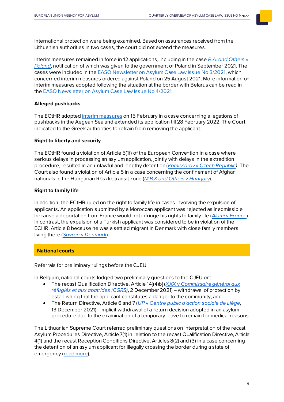international protection were being examined. Based on assurances received from the Lithuanian authorities in two cases, the court did not extend the measures.

Interim measures remained in force in 12 applications, including in the case *[R.A. and Others](https://caselaw.euaa.europa.eu/pages/viewcaselaw.aspx?CaseLawID=1953)* v *[Poland](https://caselaw.euaa.europa.eu/pages/viewcaselaw.aspx?CaseLawID=1953)*, notification of which was given to the government of Poland in September 2021. The cases were included in th[e EASO Newsletter on Asylum Case Law Issue No](https://caselaw.euaa.europa.eu/Newsletters/EASO%20Newsletter%20on%20Asylum%20Case%20Law-Issue%203-2021.pdf) 3/2021, which concerned interim measures ordered against Poland on 25 August 2021. More information on interim measures adopted following the situation at the border with Belarus can be read in the EASO Newsletter [on Asylum Case Law Issue No 4/2021](https://caselaw.euaa.europa.eu/Newsletters/2021_EASO_Newsletter_Asylum_Case_Law_Issue_4.pdf).

## **Alleged pushbacks**

The ECtHR adopte[d interim measures](https://caselaw.euaa.europa.eu/pages/viewcaselaw.aspx?CaseLawID=2428) on 15 February in a case concerning allegations of pushbacks in the Aegean Sea and extended its application till 28 February 2022. The Court indicated to the Greek authorities to refrain from removing the applicant.

## **Right to liberty and security**

The ECtHR found a violation of Article 5(1f) of the European Convention in a case where serious delays in processing an asylum application, jointly with delays in the extradition procedure, resulted in an unlawful and lengthy detention (*Komissarov* v *[Czech Republic](https://caselaw.euaa.europa.eu/pages/viewcaselaw.aspx?CaseLawID=2369)).* The Court also found a violation of Article 5 in a case concerning the confinement of Afghan nationals in the Hungarian Röszke transit zone (*[M.B.K and Others](https://caselaw.euaa.europa.eu/pages/viewcaselaw.aspx?CaseLawID=2406)* v *Hungary*).

# **Right to family life**

In addition, the ECtHR ruled on the right to family life in cases involving the expulsion of applicants. An application submitted by a Moroccan applicant was rejected as inadmissible because a deportation from France would not infringe his rights to family life (*Alami* v *[France](https://caselaw.euaa.europa.eu/pages/viewcaselaw.aspx?CaseLawID=2391)*). In contrast, the expulsion of a Turkish applicant was considered to be in violation of the ECHR, Article 8 because he was a settled migrant in Denmark with close family members living there (*Savran* v *[Denmark](https://caselaw.euaa.europa.eu/pages/viewcaselaw.aspx?CaseLawID=2370)*).

#### **National courts**

Referrals for preliminary rulings before the CJEU

In Belgium, national courts lodged two preliminary questions to the CJEU on:

- The recast Qualification Directive, Article 14[(4)b] (*XXX* v *[Commissaire](https://caselaw.euaa.europa.eu/pages/viewcaselaw.aspx?CaseLawID=2400) général aux réfugiés et aux [apatrides](https://caselaw.euaa.europa.eu/pages/viewcaselaw.aspx?CaseLawID=2400) (CGRS)*, 2 December 2021) – withdrawal of protection by establishing that the applicant constitutes a danger to the community; and
- The Return Directive, Article 6 and 7 (*UP* v *Centre public [d'action](https://caselaw.euaa.europa.eu/pages/viewcaselaw.aspx?CaseLawID=2401) sociale de Liège*, 13 December 2021) - implicit withdrawal of a return decision adopted in an asylum procedure due to the examination of a temporary leave to remain for medical reasons.

The Lithuanian Supreme Court referred preliminary questions on interpretation of the recast Asylum Procedures Directive, Article 7(1) in relation to the recast Qualification Directive, Article 4(1) and the recast Reception Conditions Directive, Articles 8(2) and (3) in a case concerning the detention of an asylum applicant for illegally crossing the border during a state of emergency [\(read more](#page-25-1)).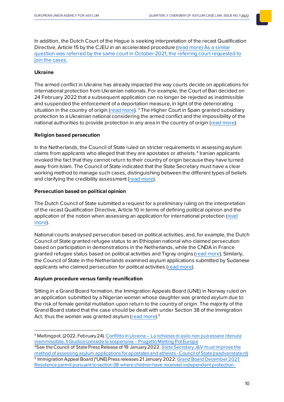In addition, the Dutch Court of the Hague is seeking interpretation of the recast Qualification Directive, Article 15 by the CJEU in an accelerated procedure [\(read more](#page-19-1)) As a similar [question](https://caselaw.euaa.europa.eu/pages/viewcaselaw.aspx?CaseLawID=2409) was referred by the same court in October 2021, the referring court requested to join the cases.

# **Ukraine**

The armed conflict in Ukraine has already impacted the way courts decide on applications for international protection from Ukrainian nationals. For example, the Court of Bari decided on 24 February 2022 that a subsequent application can no longer be rejected as inadmissible and suspended the enforcement of a deportation measure, in light of the deteriorating situation in the country of origin [\(read more](#page-12-3)). <sup>[3](#page-9-0)</sup> The Higher Court in Spain granted subsidiary protection to a Ukrainian national considering the armed conflict and the impossibility of the national authorities to provide protection in any area in the country of origin [\(read more](#page-12-4)).

# **Religion based persecution**

In the Netherlands, the Council of State ruled on stricter requirements in assessing asylum claims from applicants who alleged that they are apostates or atheists.<sup>[4](#page-9-1)</sup> Iranian applicants invoked the fact that they cannot return to their country of origin because they have turned away from Islam. The Council of State indicated that the State Secretary must have a clear working method to manage such cases, distinguishing between the different types of beliefs and clarifying the credibility assessment [\(read more](#page-13-1)).

# **Persecution based on political opinion**

The Dutch Council of State submitted a request for a preliminary ruling on the interpretation of the recast Qualification Directive, Article 10 in terms of defining political opinion and the application of the notion when assessing an application for international protection [\(read](#page-14-1)  [more\)](#page-14-1).

National courts analysed persecution based on political activities, and, for example, the Dutch Council of State granted refugee status to an Ethiopian national who claimed persecution based on participation in demonstrations in the Netherlands, while the CNDA in France granted refugee status based on political activities and Tigray origins [\(read more](#page-15-0)). Similarly, the Council of State in the Netherlands examined asylum applications submitted by Sudanese applicants who claimed persecution for political activities [\(read more\)](#page-15-1).

# **Asylum procedure versus family reunification**

Sitting in a Grand Board formation, the Immigration Appeals Board (UNE) in Norway ruled on an application submitted by a Nigerian woman whose daughter was granted asylum due to the risk of female genital mutilation upon return to the country of origin. The majority of the Grand Board stated that the case should be dealt with under Section 38 of the Immigration Act, thus the woman was granted asylum [\(read more](#page-12-1)).<sup>[5](#page-9-2)</sup>

<span id="page-9-0"></span><sup>3</sup> Meltingpot. (2022, February 24). Conflitto in Ucraina – [La richiesta di asilo non può essere ritenuta](https://www.meltingpot.org/2022/02/conflitto-in-ucraina-la-richiesta-di-asilo-non-puo-essere-ritenuta-inammissibile-il-giudice-sospende-il-diniego/)  [inammissibile. Il Giudice concede la sospensiva –](https://www.meltingpot.org/2022/02/conflitto-in-ucraina-la-richiesta-di-asilo-non-puo-essere-ritenuta-inammissibile-il-giudice-sospende-il-diniego/) Progetto Melting Pot Europa

<span id="page-9-2"></span><span id="page-9-1"></span><sup>4</sup>See the Council of State Press Release of 19 January 2022. State Secretary J&V must improve the [method of assessing asylum applications for apostates and atheists -Council of State \(raadvanstate.nl\)](https://www.raadvanstate.nl/actueel/nieuws/%40128450/beoordeling-asiel-afvalligen-atheisten/) <sup>5</sup> Immigration Appeal Board (\*UNE) Press releases 21 January 2022[: Grand Board December 2021:](https://www.une.no/kildesamling/stornemndavgjorelser/stornemnd-desember-2021/)  [Residence permit pursuant to section 38 where children have received independent protection -](https://www.une.no/kildesamling/stornemndavgjorelser/stornemnd-desember-2021/)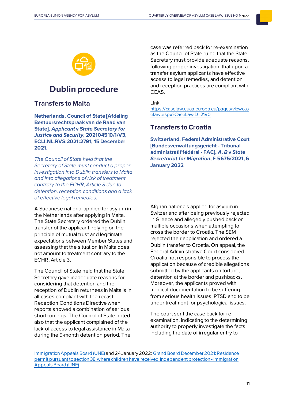

# <span id="page-10-0"></span>**Dublin procedure**

# <span id="page-10-1"></span>**Transfers to Malta**

**Netherlands, Council of State [Afdeling Bestuursrechtspraak van de Raad van State],** *Applicant* **v** *State Secretary for Justice and Security***, 202104510/1/V3, ECLI:NL:RVS:2021:2791, 15 December 2021.**

*The Council of State held that the Secretary of State must conduct a proper investigation into Dublin transfers to Malta and into allegations of risk of treatment contrary to the ECHR, Article 3 due to detention, reception conditions and a lack of effective legal remedies.*

A Sudanese national applied for asylum in the Netherlands after applying in Malta. The State Secretary ordered the Dublin transfer of the applicant, relying on the principle of mutual trust and legitimate expectations between Member States and assessing that the situation in Malta does not amount to treatment contrary to the ECHR, Article 3.

The Council of State held that the State Secretary gave inadequate reasons for considering that detention and the reception of Dublin returnees in Malta is in all cases compliant with the recast Reception Conditions Directive when reports showed a combination of serious shortcomings. The Council of State noted also that the applicant complained of the lack of access to legal assistance in Malta during the 9-month detention period. The

case was referred back for re-examination as the Council of State ruled that the State Secretary must provide adequate reasons, following proper investigation, that upon a transfer asylum applicants have effective access to legal remedies, and detention and reception practices are compliant with CEAS.

Link:

[https://caselaw.euaa.europa.eu/pages/viewcas](https://caselaw.euaa.europa.eu/pages/viewcaselaw.aspx?CaseLawID=2190) [elaw.aspx?CaseLawID=2190](https://caselaw.euaa.europa.eu/pages/viewcaselaw.aspx?CaseLawID=2190)

# <span id="page-10-2"></span>**Transfers toCroatia**

**Switzerland, Federal Administrative Court [Bundesverwaltungsgericht - Tribunal administratif fédéral - FAC],** *A, B* **v** *State Secretariat for Migration***, F-5675/2021, 6 January 2022**

Afghan nationals applied for asylum in Switzerland after being previously rejected in Greece and allegedly pushed back on multiple occasions when attempting to cross the border to Croatia. The SEM rejected their application and ordered a Dublin transfer to Croatia. On appeal, the Federal Administrative Court considered Croatia not responsible to process the application because of credible allegations submitted by the applicants on torture, detention at the border and pushbacks. Moreover, the applicants proved with medical documentation to be suffering from serious health issues, PTSD and to be under treatment for psychological issues.

The court sent the case back for reexamination, indicating to the determining authority to properly investigate the facts, including the date of irregular entry to

[Immigration Appeals Board \(UNE\)](https://www.une.no/kildesamling/stornemndavgjorelser/stornemnd-desember-2021/) and 24 January 2022[: Grand Board December 2021: Residence](https://www.une.no/kildesamling/stornemndavgjorelser/stornemnd-desember-2021/)  [permit pursuant to section 38 where children have received independent protection - Immigration](https://www.une.no/kildesamling/stornemndavgjorelser/stornemnd-desember-2021/)  [Appeals Board \(UNE\)](https://www.une.no/kildesamling/stornemndavgjorelser/stornemnd-desember-2021/)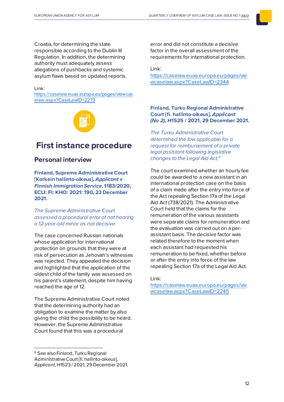Croatia, for determining the state responsible according to the Dublin III Regulation. In addition, the determining authority must adequately assess allegations of pushbacks and systemic asylum flaws based on updated reports.

#### Link:

[https://caselaw.euaa.europa.eu/pages/viewcas](https://caselaw.euaa.europa.eu/pages/viewcaselaw.aspx?CaseLawID=2273) [elaw.aspx?CaseLawID=2273](https://caselaw.euaa.europa.eu/pages/viewcaselaw.aspx?CaseLawID=2273)



# <span id="page-11-0"></span>**First instance procedure**

# <span id="page-11-1"></span>**Personal interview**

**Finland, Supreme Administrative Court [Korkein hallinto-oikeus],** *Applicant* **v**  *Finnish Immigration Service***, 1183/2020, ECLI: FI: KHO: 2021: 190, 23 December 2021.**

*The Supreme Administrative Court assessed a procedural error of not hearing a 12-year-old minor as not decisive*

The case concerned Russian nationals whose application for international protection on grounds that they were at risk of persecution as Jehovah's witnesses was rejected. They appealed the decision and highlighted that the application of the oldest child of the family was assessed on his parent's statement, despite him having reached the age of 12.

The Supreme Administrative Court noted that the determining authority had an obligation to examine the matter by also giving the child the possibility to be heard. However, the Supreme Administrative Court found that this was a procedural

<span id="page-11-3"></span><sup>6</sup> See also Finland, Turku Regional Administrative Court [fi. hallinto-oikeus], *[Applicant](https://caselaw.euaa.europa.eu/pages/viewcaselaw.aspx?CaseLawID=2244)*, H1523 / 2021, 29 December 2021.

error and did not constitute a decisive factor in the overall assessment of the requirements for international protection.

Link:

<span id="page-11-2"></span>[https://caselaw.euaa.europa.eu/pages/vie](https://caselaw.euaa.europa.eu/pages/viewcaselaw.aspx?CaseLawID=2344) [wcaselaw.aspx?CaseLawID=2344](https://caselaw.euaa.europa.eu/pages/viewcaselaw.aspx?CaseLawID=2344)

# **Finland, Turku Regional Administrative Court [fi. hallinto-oikeus],** *Applicant (No 2)***, H1525 / 2021, 29 December 2021.**

*The Turku Administrative Court determined the law applicable for a request for reimbursement of a private legal assistant following legislative changes to the Legal Aid Act. [6](#page-11-3)*

The court examined whether an hourly fee could be awarded to a new assistant in an international protection case on the basis of a claim made after the entry into force of the Act repealing Section 17a of the Legal Aid Act (738/2021). The Administrative Court held that the claims for the remuneration of the various assistants were separate claims for remuneration and the evaluation was carried out on a perassistant basis. The decisive factor was related therefore to the moment when each assistant had requested his remuneration to be fixed, whether before or after the entry into force of the law repealing Section 17a of the Legal Aid Act.

Link: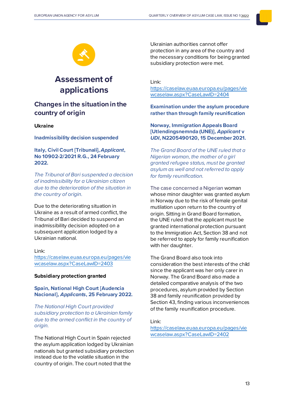

# <span id="page-12-0"></span>**Assessment of applications**

# <span id="page-12-1"></span>**Changes in the situation in the country of origin**

# <span id="page-12-3"></span>**Ukraine**

**Inadmissibility decision suspended**

**Italy, Civil Court [Tribunali],** *Applicant***, No 10902-2/2021 R.G., 24 February 2022.**

*The Tribunal of Bari suspended a decision of inadmissibility for a Ukrainian citizen due to the deterioration of the situation in the country of origin.*

Due to the deteriorating situation in Ukraine as a result of armed conflict, the Tribunal of Bari decided to suspend an inadmissibility decision adopted on a subsequent application lodged by a Ukrainian national.

Link:

[https://caselaw.euaa.europa.eu/pages/vie](https://caselaw.euaa.europa.eu/pages/viewcaselaw.aspx?CaseLawID=2403) [wcaselaw.aspx?CaseLawID=2403](https://caselaw.euaa.europa.eu/pages/viewcaselaw.aspx?CaseLawID=2403)

# <span id="page-12-4"></span>**Subsidiary protection granted**

**Spain, National High Court [Audencia Nacional],** *Applicants***, 25 February 2022.**

*The National High Court provided subsidiary protection to a Ukrainian family due to the armed conflict in the country of origin.*

The National High Court in Spain rejected the asylum application lodged by Ukrainian nationals but granted subsidiary protection instead due to the volatile situation in the country of origin. The court noted that the

Ukrainian authorities cannot offer protection in any area of the country and the necessary conditions for being granted subsidiary protection were met.

Link:

[https://caselaw.euaa.europa.eu/pages/vie](https://caselaw.euaa.europa.eu/pages/viewcaselaw.aspx?CaseLawID=2404) [wcaselaw.aspx?CaseLawID=2404](https://caselaw.euaa.europa.eu/pages/viewcaselaw.aspx?CaseLawID=2404)

<span id="page-12-2"></span>**Examination under the asylum procedure rather than through family reunification**

**Norway, Immigration Appeals Board [Utlendingsnemnda (UNE)],** *Applicant* **v**  *UDI***, N2205490120, 15 December 2021.**

*The Grand Board of the UNE ruled that a Nigerian woman, the mother of a girl granted refugee status, must be granted asylum as well and not referred to apply for family reunification.*

The case concerned a Nigerian woman whose minor daughter was granted asylum in Norway due to the risk of female genital mutilation upon return to the country of origin. Sitting in Grand Board formation, the UNE ruled that the applicant must be granted international protection pursuant to the Immigration Act, Section 38 and not be referred to apply for family reunification with her daughter.

The Grand Board also took into consideration the best interests of the child since the applicant was her only carer in Norway. The Grand Board also made a detailed comparative analysis of the two procedures, asylum provided by Section 38 and family reunification provided by Section 43, finding various inconveniences of the family reunification procedure.

Link: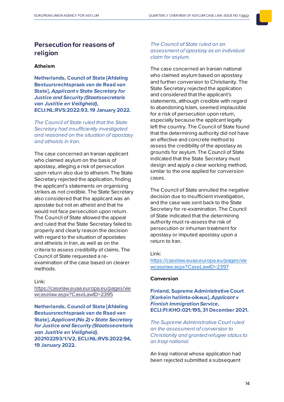# <span id="page-13-0"></span>**Persecution for reasons of religion**

# <span id="page-13-1"></span>**Atheism**

**Netherlands, Council of State [Afdeling Bestuursrechtspraak van de Raad van State],** *Applicant* **v** *State Secretary for Justice and Security (Staatssecretaris van Justitie en Veiligheid)***, ECLI:NL:RVS:2022:93, 19 January 2022.**

*The Council of State ruled that the State Secretary had insufficiently investigated and reasoned on the situation of apostasy and atheists in Iran.*

The case concerned an Iranian applicant who claimed asylum on the basis of apostasy, alleging a risk of persecution upon return also due to atheism. The State Secretary rejected the application, finding the applicant's statements on organising strikes as not credible. The State Secretary also considered that the applicant was an apostate but not an atheist and that he would not face persecution upon return. The Council of State allowed the appeal and ruled that the State Secretary failed to properly and clearly reason the decision with regard to the situation of apostates and atheists in Iran, as well as on the criteria to assess credibility of claims. The Council of State requested a reexamination of the case based on clearer methods.

## Link:

[https://caselaw.euaa.europa.eu/pages/vie](https://caselaw.euaa.europa.eu/pages/viewcaselaw.aspx?CaseLawID=2395) [wcaselaw.aspx?CaseLawID=2395](https://caselaw.euaa.europa.eu/pages/viewcaselaw.aspx?CaseLawID=2395)

**Netherlands, Council of State [Afdeling Bestuursrechtspraak van de Raad van State],** *Applicant (No 2)* **v** *State Secretary for Justice and Security (Staatssecretaris van Justitie en Veiligheid),* **202102293/1/V2, ECLI:NL:RVS:2022:94, 19 January 2022.**

# *The Council of State ruled on an assessment of apostasy as an individual claim for asylum.*

The case concerned an Iranian national who claimed asylum based on apostasy and further conversion to Christianity. The State Secretary rejected the application and considered that the applicant's statements, although credible with regard to abandoning Islam, seemed implausible for a risk of persecution upon return, especially because the applicant legally left the country. The Council of State found that the determining authority did not have an effective and concrete method to assess the credibility of the apostasy as grounds for asylum. The Council of State indicated that the State Secretary must design and apply a clear working method, similar to the one applied for conversion cases.

The Council of State annulled the negative decision due to insufficient investigation, and the case was sent back to the State Secretary for re-examination. The Council of State indicated that the determining authority must re-assess the risk of persecution or inhuman treatment for apostasy or imputed apostasy upon a return to Iran.

## Link:

[https://caselaw.euaa.europa.eu/pages/vie](https://caselaw.euaa.europa.eu/pages/viewcaselaw.aspx?CaseLawID=2397) [wcaselaw.aspx?CaseLawID=2397](https://caselaw.euaa.europa.eu/pages/viewcaselaw.aspx?CaseLawID=2397)

# **Conversion**

**Finland, Supreme Administrative Court [Korkein hallinto-oikeus],** *Applicant* **v**  *Finnish Immigration Service***, ECLI:FI:KHO:021:195, 31 December 2021.**

*The Supreme Administrative Court ruled on the assessment of conversion to Christianity and granted refugee status to an Iraqi national.*

An Iraqi national whose application had been rejected submitted a subsequent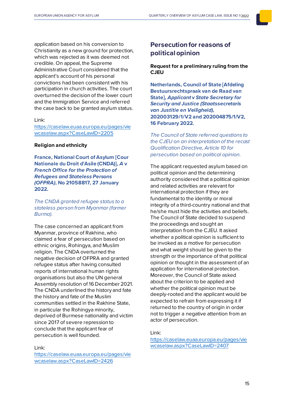application based on his conversion to Christianity as a new ground for protection, which was rejected as it was deemed not credible. On appeal, the Supreme Administrative Court considered that the applicant's account of his personal convictions had been consistent with his participation in church activities. The court overturned the decision of the lower court and the Immigration Service and referred the case back to be granted asylum status.

#### Link:

[https://caselaw.euaa.europa.eu/pages/vie](https://caselaw.euaa.europa.eu/pages/viewcaselaw.aspx?CaseLawID=2205) [wcaselaw.aspx?CaseLawID=2205](https://caselaw.euaa.europa.eu/pages/viewcaselaw.aspx?CaseLawID=2205)

## **Religion and ethnicity**

**France, National Court of Asylum [Cour Nationale du Droit d'Asile (CNDA)],** *A* **v**  *French Office for the Protection of Refugees and Stateless Persons (OFPRA)***, No 21058817, 27 January 2022.**

*The CNDA granted refugee status to a stateless person from Myanmar (former Burma).*

The case concerned an applicant from Myanmar, province of Rakhine, who claimed a fear of persecution based on ethnic origins, Rohingya, and Muslim religion. The CNDA overturned the negative decision of OFPRA and granted refugee status after having consulted reports of international human rights organisations but also the UN general Assembly resolution of 16 December 2021. The CNDA underlined the history and fate the history and fate of the Muslim communities settled in the Rakhine State, in particular the Rohingya minority, deprived of Burmese nationality and victim since 2017 of severe repression to conclude that the applicant fear of persecution is well founded.

#### Link:

[https://caselaw.euaa.europa.eu/pages/vie](https://caselaw.euaa.europa.eu/pages/viewcaselaw.aspx?CaseLawID=2426) [wcaselaw.aspx?CaseLawID=2426](https://caselaw.euaa.europa.eu/pages/viewcaselaw.aspx?CaseLawID=2426)

# <span id="page-14-0"></span>**Persecution for reasons of political opinion**

# <span id="page-14-1"></span>**Request for a preliminary ruling from the CJEU**

**Netherlands, Council of State [Afdeling Bestuursrechtspraak van de Raad van State],** *Applicant* **v** *State Secretary for Security and Justice (Staatssecretaris van Justitie en Veiligheid),* **202003129/1/V2 and 202004875/1/V2, 16 February 2022.**

*The Council of State referred questions to the CJEU on an interpretation of the recast Qualification Directive, Article 10 for persecution based on political opinion.*

The applicant requested asylum based on political opinion and the determining authority considered that a political opinion and related activities are relevant for international protection if they are fundamental to the identity or moral integrity of a third-country national and that he/she must hide the activities and beliefs. The Council of State decided to suspend the proceedings and sought an interpretation from the CJEU. It asked whether a political opinion is sufficient to be invoked as a motive for persecution and what weight should be given to the strength or the importance of that political opinion or thought in the assessment of an application for international protection. Moreover, the Council of State asked about the criterion to be applied and whether the political opinion must be deeply-rooted and the applicant would be expected to refrain from expressing it if returned to the country of origin in order not to trigger a negative attention from an actor of persecution.

# Link: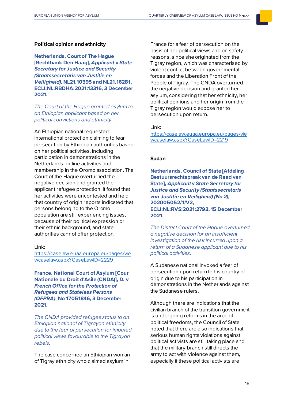# <span id="page-15-0"></span>**Political opinion and ethnicity**

**Netherlands, Court of The Hague [Rechtbank Den Haag],** *Applicant* **v** *State Secretary for Justice and Security (Staatssecretaris van Justitie en Veiligheid),* **NL21.10395 and NL21.16281, ECLI:NL:RBDHA:2021:13316, 3 December 2021.**

*The Court of the Hague granted asylum to an Ethiopian applicant based on her political convictions and ethnicity.*

An Ethiopian national requested international protection claiming to fear persecution by Ethiopian authorities based on her political activities, including participation in demonstrations in the Netherlands, online activities and membership in the Oromo association. The Court of the Hague overturned the negative decision and granted the applicant refugee protection. It found that her activities were uncontested and held that country of origin reports indicated that persons belonging to the Oromo population are still experiencing issues, because of their political expression or their ethnic background, and state authorities cannot offer protection.

## Link:

[https://caselaw.euaa.europa.eu/pages/vie](https://caselaw.euaa.europa.eu/pages/viewcaselaw.aspx?CaseLawID=2229) [wcaselaw.aspx?CaseLawID=2229](https://caselaw.euaa.europa.eu/pages/viewcaselaw.aspx?CaseLawID=2229)

**France, National Court of Asylum [Cour Nationale du Droit d'Asile (CNDA)],** *D.* **v**  *French Office for the Protection of Refugees and Stateless Persons (OFPRA)***, No 17051846, 3 December 2021.**

*The CNDA provided refugee status to an Ethiopian national of Tigrayan ethnicity due to the fear of persecution for imputed political views favourable to the Tigrayan rebels.*

The case concerned an Ethiopian woman of Tigray ethnicity who claimed asylum in

France for a fear of persecution on the basis of her political views and on safety reasons, since she originated from the Tigray region, which was characterised by violent conflict between governmental forces and the Liberation Front of the People of Tigray. The CNDA overturned the negative decision and granted her asylum, considering that her ethnicity, her political opinions and her origin from the Tigray region would expose her to persecution upon return.

#### Link:

[https://caselaw.euaa.europa.eu/pages/vie](https://caselaw.euaa.europa.eu/pages/viewcaselaw.aspx?CaseLawID=2219) [wcaselaw.aspx?CaseLawID=2219](https://caselaw.euaa.europa.eu/pages/viewcaselaw.aspx?CaseLawID=2219)

#### <span id="page-15-1"></span>**Sudan**

**Netherlands, Council of State [Afdeling Bestuursrechtspraak van de Raad van State],** *Applicant* **v** *State Secretary for Justice and Security (Staatssecretaris van Justitie en Veiligheid) (No 2),* **202005052/1/V2, ECLI:NL:RVS:2021:2793, 15 December 2021.**

*The District Court of the Hague overturned a negative decision for an insufficient investigation of the risk incurred upon a return of a Sudanese applicant due to his political activities.*

A Sudanese national invoked a fear of persecution upon return to his country of origin due to his participation in demonstrations in the Netherlands against the Sudanese rulers.

Although there are indications that the civilian branch of the transition government is undergoing reforms in the area of political freedoms, the Council of State noted that there are also indications that serious human rights violations against political activists are still taking place and that the military branch still directs the army to act with violence against them, especially if these political activists are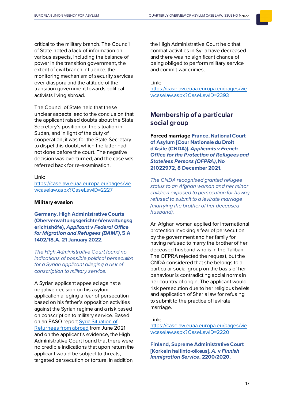critical to the military branch. The Council of State noted a lack of information on various aspects, including the balance of power in the transition government, the extent of civil branch influence, the monitoring mechanism of security services over diaspora and the attitude of the transition government towards political activists living abroad.

The Council of State held that these unclear aspects lead to the conclusion that the applicant raised doubts about the State Secretary's position on the situation in Sudan, and in light of the duty of cooperation, it was for the State Secretary to dispel this doubt, which the latter had not done before the court. The negative decision was overturned, and the case was referred back for re-examination.

## Link:

[https://caselaw.euaa.europa.eu/pages/vie](https://caselaw.euaa.europa.eu/pages/viewcaselaw.aspx?CaseLawID=2227) [wcaselaw.aspx?CaseLawID=2227](https://caselaw.euaa.europa.eu/pages/viewcaselaw.aspx?CaseLawID=2227)

## **Military evasion**

**Germany, High Administrative Courts (Oberverwaltungsgerichte/Verwaltungsg erichtshöfe),** *Applicant* **v** *Federal Office for Migration and Refugees (BAMF)***, 5 A 1402/18.A, 21 January 2022.**

*The High Administrative Court found no indications of possible political persecution for a Syrian applicant alleging a risk of conscription to military service.*

A Syrian applicant appealed against a negative decision on his asylum application alleging a fear of persecution based on his father's opposition activities against the Syrian regime and a risk based on conscription to military service. Based on an EASO repor[t Syria Situation of](https://euaa.europa.eu/sites/default/files/publications/2021_06_EASO_Syria_Situation_returnees_from_abroad.pdf)  [Returnees from abroad](https://euaa.europa.eu/sites/default/files/publications/2021_06_EASO_Syria_Situation_returnees_from_abroad.pdf) from June 2021 and on the applicant's evidence, the High Administrative Court found that there were no credible indications that upon return the applicant would be subject to threats, targeted persecution or torture. In addition, the High Administrative Court held that combat activities in Syria have decreased and there was no significant chance of being obliged to perform military service and commit war crimes.

Link:

[https://caselaw.euaa.europa.eu/pages/vie](https://caselaw.euaa.europa.eu/pages/viewcaselaw.aspx?CaseLawID=2393) [wcaselaw.aspx?CaseLawID=2393](https://caselaw.euaa.europa.eu/pages/viewcaselaw.aspx?CaseLawID=2393)

# <span id="page-16-0"></span>**Membership of a particular social group**

**Forced marriage France, National Court of Asylum [Cour Nationale du Droit d'Asile (CNDA)],** *Applicants* **v** *French Office for the Protection of Refugees and Stateless Persons (OFPRA)***, No 21022972, 8 December 2021.**

*The CNDA recognised granted refugee status to an Afghan woman and her minor children exposed to persecution for having refused to submit to a levirate marriage (marrying the brother of her deceased husband).*

An Afghan woman applied for international protection invoking a fear of persecution by the government and her family for having refused to marry the brother of her deceased husband who is in the Taliban. The OFPRA rejected the request, but the CNDA considered that she belongs to a particular social group on the basis of her behaviour is contradicting social norms in her country of origin. The applicant would risk persecution due to her religious beliefs and application of Sharia law for refusing to submit to the practice of levirate marriage.

#### Link:

[https://caselaw.euaa.europa.eu/pages/vie](https://caselaw.euaa.europa.eu/pages/viewcaselaw.aspx?CaseLawID=2220) [wcaselaw.aspx?CaseLawID=2220](https://caselaw.euaa.europa.eu/pages/viewcaselaw.aspx?CaseLawID=2220)

**Finland, Supreme Administrative Court [Korkein hallinto-oikeus],** *A.* **v** *Finnish Immigration Service***, 2200/2020,**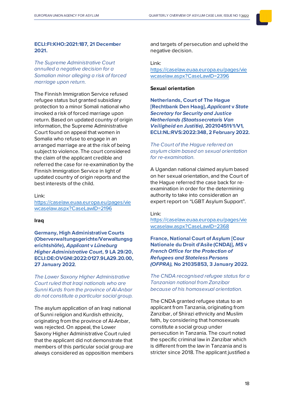# **ECLI:FI:KHO:2021:187, 21 December 2021.**

*The Supreme Administrative Court annulled a negative decision for a Somalian minor alleging a risk of forced marriage upon return.*

The Finnish Immigration Service refused refugee status but granted subsidiary protection to a minor Somali national who invoked a risk of forced marriage upon return. Based on updated country of origin information, the Supreme Administrative Court found on appeal that women in Somalia who refuse to engage in an arranged marriage are at the risk of being subject to violence. The court considered the claim of the applicant credible and referred the case for re-examination by the Finnish Immigration Service in light of updated country of origin reports and the best interests of the child.

Link:

[https://caselaw.euaa.europa.eu/pages/vie](https://caselaw.euaa.europa.eu/pages/viewcaselaw.aspx?CaseLawID=2196) [wcaselaw.aspx?CaseLawID=2196](https://caselaw.euaa.europa.eu/pages/viewcaselaw.aspx?CaseLawID=2196)

#### **Iraq**

**Germany, High Administrative Courts (Oberverwaltungsgerichte/Verwaltungsg erichtshöfe),** *Applicant* **v** *Lüneburg Higher Administrative Court***, 9 LA 29/20, ECLI:DE:OVGNI:2022:0127.9LA29.20.00, 27 January 2022**.

*The Lower Saxony Higher Administrative Court ruled that Iraqi nationals who are Sunni Kurds from the province of Al-Anbar do not constitute a particular social group.*

The asylum application of an Iraqi national of Sunni religion and Kurdish ethnicity, originating from the province of Al-Anbar, was rejected. On appeal, the Lower Saxony Higher Administrative Court ruled that the applicant did not demonstrate that members of this particular social group are always considered as opposition members and targets of persecution and upheld the negative decision.

#### Link:

[https://caselaw.euaa.europa.eu/pages/vie](https://caselaw.euaa.europa.eu/pages/viewcaselaw.aspx?CaseLawID=2396) [wcaselaw.aspx?CaseLawID=2396](https://caselaw.euaa.europa.eu/pages/viewcaselaw.aspx?CaseLawID=2396)

#### **Sexual orientation**

**Netherlands, Court of The Hague [Rechtbank Den Haag],** *Applicant* **v** *State Secretary for Security and Justice Netherlands (Staatssecretaris Van Veiligheid en Justitie)***, 202104511/1/V1, ECLI:NL:RVS:2022:348, 2 February 2022.**

*The Court of the Hague referred an asylum claim based on sexual orientation for re-examination.*

A Ugandan national claimed asylum based on her sexual orientation, and the Court of the Hague referred the case back for reexamination in order for the determining authority to take into consideration an expert report on "LGBT Asylum Support".

#### Link:

[https://caselaw.euaa.europa.eu/pages/vie](https://caselaw.euaa.europa.eu/pages/viewcaselaw.aspx?CaseLawID=2368) [wcaselaw.aspx?CaseLawID=2368](https://caselaw.euaa.europa.eu/pages/viewcaselaw.aspx?CaseLawID=2368)

**France, National Court of Asylum [Cour Nationale du Droit d'Asile (CNDA)],** *MS* **v** *French Office for the Protection of Refugees and Stateless Persons (OFPRA),* **No 21035853, 3 January 2022.**

*The CNDA recognised refugee status for a Tanzanian national from Zanzibar because of his homosexual orientation.*

The CNDA granted refugee status to an applicant from Tanzania, originating from Zanzibar, of Shirazi ethnicity and Muslim faith, by considering that homosexuals constitute a social group under persecution in Tanzania. The court noted the specific criminal law in Zanzibar which is different from the law in Tanzania and is stricter since 2018. The applicant justified a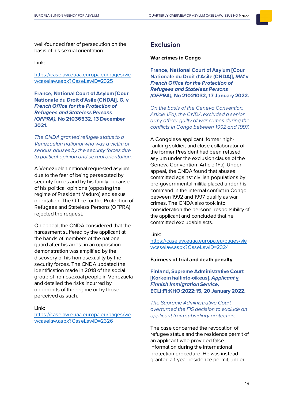well-founded fear of persecution on the basis of his sexual orientation.

Link:

[https://caselaw.euaa.europa.eu/pages/vie](https://caselaw.euaa.europa.eu/pages/viewcaselaw.aspx?CaseLawID=2325) [wcaselaw.aspx?CaseLawID=2325](https://caselaw.euaa.europa.eu/pages/viewcaselaw.aspx?CaseLawID=2325)

**France, National Court of Asylum [Cour Nationale du Droit d'Asile (CNDA)],** *G.* **v**  *French Office for the Protection of Refugees and Stateless Persons (OFPRA),* **No 21036532, 13 December 2021.** 

*The CNDA granted refugee status to a Venezuelan national who was a victim of serious abuses by the security forces due to political opinion and sexual orientation.*

A Venezuelan national requested asylum due to the fear of being persecuted by security forces and by his family because of his political opinions (opposing the regime of President Maduro) and sexual orientation. The Office for the Protection of Refugees and Stateless Persons (OFPRA) rejected the request.

On appeal, the CNDA considered that the harassment suffered by the applicant at the hands of members of the national guard after his arrest in an opposition demonstration was amplified by the discovery of his homosexuality by the security forces. The CNDA updated the identification made in 2018 of the social group of homosexual people in Venezuela and detailed the risks incurred by opponents of the regime or by those perceived as such.

Link:

[https://caselaw.euaa.europa.eu/pages/vie](https://caselaw.euaa.europa.eu/pages/viewcaselaw.aspx?CaseLawID=2326) [wcaselaw.aspx?CaseLawID=2326](https://caselaw.euaa.europa.eu/pages/viewcaselaw.aspx?CaseLawID=2326)

# <span id="page-18-0"></span>**Exclusion**

#### **War crimes in Congo**

**France, National Court of Asylum [Cour Nationale du Droit d'Asile (CNDA)],** *MM* **v**  *French Office for the Protection of Refugees and Stateless Persons (OFPRA),* **No 21021032, 17 January 2022.**

*On the basis of the Geneva Convention, Article 1Fa), the CNDA excluded a senior army officer guilty of war crimes during the conflicts in Congo between 1992 and 1997.*

A Congolese applicant, former highranking soldier, and close collaborator of the former President had been refused asylum under the exclusion clause of the Geneva Convention, Article 1Fa). Under appeal, the CNDA found that abuses committed against civilian populations by pro-governmental militia placed under his command in the internal conflict in Congo between 1992 and 1997 qualify as war crimes. The CNDA also took into consideration the personal responsibility of the applicant and concluded that he committed excludable acts.

## Link:

[https://caselaw.euaa.europa.eu/pages/vie](https://caselaw.euaa.europa.eu/pages/viewcaselaw.aspx?CaseLawID=2324) [wcaselaw.aspx?CaseLawID=2324](https://caselaw.euaa.europa.eu/pages/viewcaselaw.aspx?CaseLawID=2324)

#### **Fairness of trial and death penalty**

**Finland, Supreme Administrative Court [Korkein hallinto-oikeus],** *Applicant* **v**  *Finnish Immigration Service,* **ECLI:FI:KHO:2022:15, 20 January 2022.**

*The Supreme Administrative Court overturned the FIS decision to exclude an applicant from subsidiary protection.*

The case concerned the revocation of refugee status and the residence permit of an applicant who provided false information during the international protection procedure. He was instead granted a 1-year residence permit, under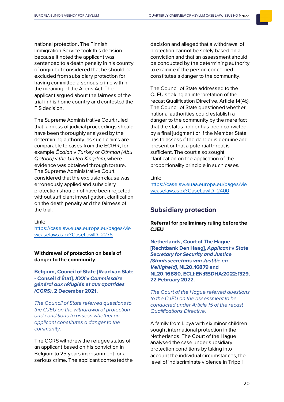national protection. The Finnish Immigration Service took this decision because it noted the applicant was sentenced to a death penalty in his country of origin but considered that he should be excluded from subsidiary protection for having committed a serious crime within the meaning of the Aliens Act. The applicant argued about the fairness of the trial in his home country and contested the FIS decision.

The Supreme Administrative Court ruled that fairness of judicial proceedings should have been thoroughly analysed by the determining authority, as such claims are comparable to cases from the ECtHR, for example *Öcalan* v *Turkey* or *Othman (Abu Qatada)* v *the United Kingdom,* where evidence was obtained through torture. The Supreme Administrative Court considered that the exclusion clause was erroneously applied and subsidiary protection should not have been rejected without sufficient investigation, clarification on the death penalty and the fairness of the trial.

# Link:

[https://caselaw.euaa.europa.eu/pages/vie](https://caselaw.euaa.europa.eu/pages/viewcaselaw.aspx?CaseLawID=2276) [wcaselaw.aspx?CaseLawID=2276](https://caselaw.euaa.europa.eu/pages/viewcaselaw.aspx?CaseLawID=2276)

**Withdrawal of protection on basis of danger to the community** 

**Belgium, Council of State [Raad van State - Conseil d'État],** *XXX* **v** *Commissaire général aux réfugiés et aux apatrides (CGRS)***, 2 December 2021.**

*The Council of State referred questions to the CJEU on the withdrawal of protection and conditions to assess whether an applicant constitutes a danger to the community.*

The CGRS withdrew the refugee status of an applicant based on his conviction in Belgium to 25 years imprisonment for a serious crime. The applicant contested the decision and alleged that a withdrawal of protection cannot be solely based on a conviction and that an assessment should be conducted by the determining authority to examine if the person concerned constitutes a danger to the community.

The Council of State addressed to the CJEU seeking an interpretation of the recast Qualification Directive, Article 14(4b). The Council of State questioned whether national authorities could establish a danger to the community by the mere fact that the status holder has been convicted by a final judgment or if the Member State has to assess if the danger is genuine and present or that a potential threat is sufficient. The court also sought clarification on the application of the proportionality principle in such cases.

#### Link:

[https://caselaw.euaa.europa.eu/pages/vie](https://caselaw.euaa.europa.eu/pages/viewcaselaw.aspx?CaseLawID=2400) [wcaselaw.aspx?CaseLawID=2400](https://caselaw.euaa.europa.eu/pages/viewcaselaw.aspx?CaseLawID=2400)

# <span id="page-19-1"></span><span id="page-19-0"></span>**Subsidiary protection**

# **Referral for preliminary ruling before the CJEU**

**Netherlands, Court of The Hague [Rechtbank Den Haag],** *Applicant* **v** *State Secretary for Security and Justice (Staatssecretaris van Justitie en Veiligheid)***, NL20.16879 and NL20.16880, ECLI:EN:RBDHA:2022:1329, 22 February 2022.**

*The Court of the Hague referred questions to the CJEU on the assessment to be conducted under Article 15 of the recast Qualifications Directive.*

A family from Libya with six minor children sought international protection in the Netherlands. The Court of the Hague analysed the case under subsidiary protection conditions by taking into account the individual circumstances, the level of indiscriminate violence in Tripoli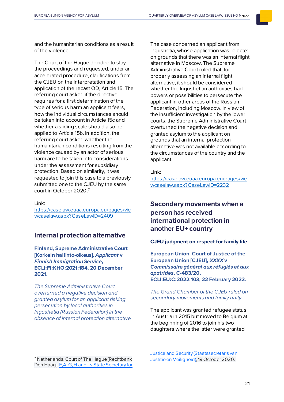and the humanitarian conditions as a result of the violence.

The Court of the Hague decided to stay the proceedings and requested, under an accelerated procedure, clarifications from the CJEU on the interpretation and application of the recast QD, Article 15. The referring court asked if the directive requires for a first determination of the type of serious harm an applicant fears, how the individual circumstances should be taken into account in Article 15c and whether a sliding scale should also be applied to Article 15b. In addition, the referring court asked whether the humanitarian conditions resulting from the violence caused by an actor of serious harm are to be taken into considerations under the assessment for subsidiary protection. Based on similarity, it was requested to join this case to a previously submitted one to the CJEU by the same court in October 2020.[7](#page-20-2)

Link:

[https://caselaw.euaa.europa.eu/pages/vie](https://caselaw.euaa.europa.eu/pages/viewcaselaw.aspx?CaseLawID=2409) [wcaselaw.aspx?CaseLawID=2409](https://caselaw.euaa.europa.eu/pages/viewcaselaw.aspx?CaseLawID=2409)

# <span id="page-20-0"></span>**Internal protectionalternative**

**Finland, Supreme Administrative Court [Korkein hallinto-oikeus]***, Applicant* **v**  *Finnish Immigration Service***, ECLI:FI:KHO:2021:184, 20 December 2021.**

*The Supreme Administrative Court overturned a negative decision and granted asylum for an applicant risking persecution by local authorities in Ingushetia (Russian Federation) in the absence of internal protection alternative.*

The case concerned an applicant from Ingushetia, whose application was rejected on grounds that there was an internal flight alternative in Moscow. The Supreme Administrative Court ruled that, for properly assessing an internal flight alternative, it should be considered whether the Ingushetian authorities had powers or possibilities to persecute the applicant in other areas of the Russian Federation, including Moscow. In view of the insufficient investigation by the lower courts, the Supreme Administrative Court overturned the negative decision and granted asylum to the applicant on grounds that an internal protection alternative was not available according to the circumstances of the country and the applicant.

#### Link:

[https://caselaw.euaa.europa.eu/pages/vie](https://caselaw.euaa.europa.eu/pages/viewcaselaw.aspx?CaseLawID=2232) [wcaselaw.aspx?CaseLawID=2232](https://caselaw.euaa.europa.eu/pages/viewcaselaw.aspx?CaseLawID=2232)

# <span id="page-20-1"></span>**Secondary movements when a personhas received international protection in another EU+ country**

#### **CJEU judgment on respect for family life**

**European Union, Court of Justice of the European Union [CJEU],** *XXXX* **v**  *Commissaire général aux réfugiés et aux apatrides***, C-483/20, ECLI:EU:C:2022:103, 22 February 2022.**

# *The Grand Chamber of the CJEU ruled on secondary movements and family unity.*

The applicant was granted refugee status in Austria in 2015 but moved to Belgium at the beginning of 2016 to join his two daughters where the latter were granted

Justice and Security [\(Staatssecretaris](https://caselaw.euaa.europa.eu/pages/viewcaselaw.aspx?CaseLawID=2128) van Justitie en [Veiligheid\)](https://caselaw.euaa.europa.eu/pages/viewcaselaw.aspx?CaseLawID=2128), 19 October 2020.

<span id="page-20-2"></span><sup>&</sup>lt;sup>7</sup> Netherlands, Court of The Haque [Rechtbank] Den Haag], F,A, G, H and I v State Secretary for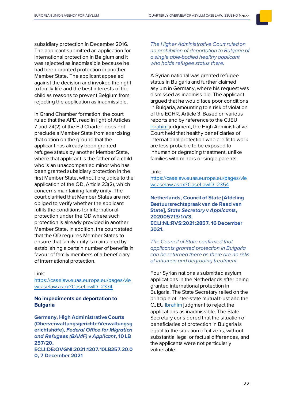subsidiary protection in December 2016. The applicant submitted an application for international protection in Belgium and it was rejected as inadmissible because he had been granted protection in another Member State. The applicant appealed against the decision and invoked the right to family life and the best interests of the child as reasons to prevent Belgium from rejecting the application as inadmissible.

In Grand Chamber formation, the court ruled that the APD, read in light of Articles 7 and 24(2) of the EU Charter, does not preclude a Member State from exercising that option on the ground that the applicant has already been granted refugee status by another Member State, where that applicant is the father of a child who is an unaccompanied minor who has been granted subsidiary protection in the first Member State, without prejudice to the application of the QD, Article 23(2), which concerns maintaining family unity. The court clarified that Member States are not obliged to verify whether the applicant fulfils the conditions for international protection under the QD where such protection is already provided in another Member State. In addition, the court stated that the QD requires Member States to ensure that family unity is maintained by establishing a certain number of benefits in favour of family members of a beneficiary of international protection.

## Link:

[https://caselaw.euaa.europa.eu/pages/vie](https://caselaw.euaa.europa.eu/pages/viewcaselaw.aspx?CaseLawID=2374) [wcaselaw.aspx?CaseLawID=2374](https://caselaw.euaa.europa.eu/pages/viewcaselaw.aspx?CaseLawID=2374)

# **No impediments on deportation to Bulgaria**

**Germany, High Administrative Courts (Oberverwaltungsgerichte/Verwaltungsg erichtshöfe),** *Federal Office for Migration and Refugees (BAMF)* **v** *Applicant***, 10 LB 257/20,** 

**ECLI:DE:OVGNI:2021:1207.10LB257.20.0 0, 7 December 2021**

*The Higher Administrative Court ruled on no prohibition of deportation to Bulgaria of a single able-bodied healthy applicant who holds refugee status there.*

A Syrian national was granted refugee status in Bulgaria and further claimed asylum in Germany, where his request was dismissed as inadmissible. The applicant argued that he would face poor conditions in Bulgaria, amounting to a risk of violation of the ECHR, Article 3. Based on various reports and by reference to the CJEU [Ibrahim](https://caselaw.euaa.europa.eu/pages/viewcaselaw.aspx?CaseLawID=745) judgment, the High Administrative Court held that healthy beneficiaries of international protection who are fit to work are less probable to be exposed to inhuman or degrading treatment, unlike families with minors or single parents.

## Link:

[https://caselaw.euaa.europa.eu/pages/vie](https://caselaw.euaa.europa.eu/pages/viewcaselaw.aspx?CaseLawID=2354) [wcaselaw.aspx?CaseLawID=2354](https://caselaw.euaa.europa.eu/pages/viewcaselaw.aspx?CaseLawID=2354)

**Netherlands, Council of State [Afdeling Bestuursrechtspraak van de Raad van State],** *State Secretary* **v** *Applicants***, 202005713/1/V3, ECLI:NL:RVS:2021:2857, 16 December 2021.**

*The Council of State confirmed that applicants granted protection in Bulgaria can be returned there as there are no risks of inhuman and degrading treatment.*

Four Syrian nationals submitted asylum applications in the Netherlands after being granted international protection in Bulgaria. The State Secretary relied on the principle of inter-state mutual trust and the CJE[U Ibrahim](https://caselaw.euaa.europa.eu/pages/viewcaselaw.aspx?CaseLawID=745&returnurl=/pages/searchresults.aspx) judgment to reject the applications as inadmissible. The State Secretary considered that the situation of beneficiaries of protection in Bulgaria is equal to the situation of citizens, without substantial legal or factual differences, and the applicants were not particularly vulnerable.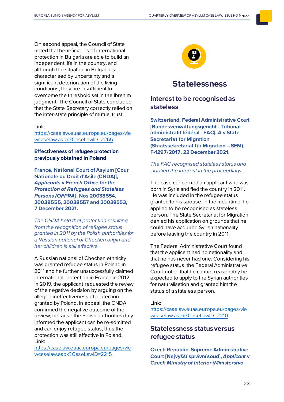On second appeal, the Council of State noted that beneficiaries of international protection in Bulgaria are able to build an independent life in the country, and although the situation in Bulgaria is characterised by uncertainty and a significant deterioration of the living conditions, they are insufficient to overcome the threshold set in the Ibrahim judgment. The Council of State concluded that the State Secretary correctly relied on the inter-state principle of mutual trust.

Link:

[https://caselaw.euaa.europa.eu/pages/vie](https://caselaw.euaa.europa.eu/pages/viewcaselaw.aspx?CaseLawID=2265) [wcaselaw.aspx?CaseLawID=2265](https://caselaw.euaa.europa.eu/pages/viewcaselaw.aspx?CaseLawID=2265)

# **Effectiveness of refugee protection previously obtained in Poland**

**France, National Court of Asylum [Cour Nationale du Droit d'Asile (CNDA)],**  *Applicants* **v** *French Office for the Protection of Refugees and Stateless Persons (OFPRA)***, Nos 20038554, 20038555, 20038557 and 20038553, 7 December 2021.**

*The CNDA held that protection resulting from the recognition of refugee status granted in 2011 by the Polish authorities for a Russian national of Chechen origin and her children is still effective.*

A Russian national of Chechen ethnicity was granted refugee status in Poland in 2011 and he further unsuccessfully claimed international protection in France in 2012. In 2019, the applicant requested the review of the negative decision by arguing on the alleged ineffectiveness of protection granted by Poland. In appeal, the CNDA confirmed the negative outcome of the review, because the Polish authorities duly informed the applicant can be re-admitted and can enjoy refugee status, thus the protection was still effective in Poland. Link:

[https://caselaw.euaa.europa.eu/pages/vie](https://caselaw.euaa.europa.eu/pages/viewcaselaw.aspx?CaseLawID=2215) [wcaselaw.aspx?CaseLawID=2215](https://caselaw.euaa.europa.eu/pages/viewcaselaw.aspx?CaseLawID=2215)



# **Statelessness**

# <span id="page-22-1"></span><span id="page-22-0"></span>**Interest to be recognised as stateless**

**Switzerland, Federal Administrative Court [Bundesverwaltungsgericht - Tribunal administratif fédéral - FAC], A v State Secretariat for Migration (Staatssekretariat für Migration – SEM), F-1297/2017, 22 December 2021.**

# *The FAC recognised stateless status and clarified the interest in the proceedings.*

The case concerned an applicant who was born in Syria and fled the country in 2011. He was included in the refugee status granted to his spouse. In the meantime, he applied to be recognised as stateless person. The State Secretariat for Migration denied his application on grounds that he could have acquired Syrian nationality before leaving the country in 2011.

The Federal Administrative Court found that the applicant had no nationality and that he has never had one. Considering his refugee status, the Federal Administrative Court noted that he cannot reasonably be expected to apply to the Syrian authorities for naturalisation and granted him the status of a stateless person.

#### Link:

[https://caselaw.euaa.europa.eu/pages/vie](https://caselaw.euaa.europa.eu/pages/viewcaselaw.aspx?CaseLawID=2210) [wcaselaw.aspx?CaseLawID=2210](https://caselaw.euaa.europa.eu/pages/viewcaselaw.aspx?CaseLawID=2210)

# <span id="page-22-2"></span>**Statelessness status versus refugee status**

**Czech Republic, Supreme Administrative Court [Nejvyšší správní soud],** *Applicant* **v**  *Czech Ministry of Interior (Ministerstvo*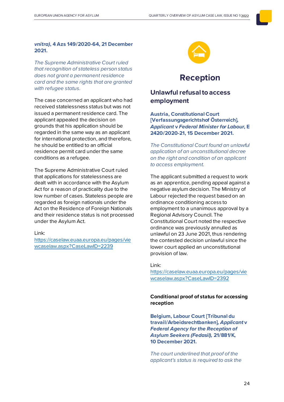# *vnitra)***, 4 Azs 149/2020-64, 21 December 2021.**

*The Supreme Administrative Court ruled that recognition of stateless person status does not grant a permanent residence card and the same rights that are granted with refugee status.*

The case concerned an applicant who had received statelessness status but was not issued a permanent residence card. The applicant appealed the decision on grounds that his application should be regarded in the same way as an applicant for international protection, and therefore, he should be entitled to an official residence permit card under the same conditions as a refugee.

The Supreme Administrative Court ruled that applications for statelessness are dealt with in accordance with the Asylum Act for a reason of practicality due to the low number of cases. Stateless people are regarded as foreign nationals under the Act on the Residence of Foreign Nationals and their residence status is not processed under the Asylum Act.

#### Link:

[https://caselaw.euaa.europa.eu/pages/vie](https://caselaw.euaa.europa.eu/pages/viewcaselaw.aspx?CaseLawID=2239) [wcaselaw.aspx?CaseLawID=2239](https://caselaw.euaa.europa.eu/pages/viewcaselaw.aspx?CaseLawID=2239)



# **Reception**

# <span id="page-23-1"></span><span id="page-23-0"></span>**Unlawful refusal to access employment**

**Austria, Constitutional Court [Verfassungsgerichtshof Österreich],** *Applicant* **v** *Federal Minister for Labour***, E 2420/2020-21, 15 December 2021.**

*The Constitutional Court found an unlawful application of an unconstitutional decree on the right and condition of an applicant to access employment.*

The applicant submitted a request to work as an apprentice, pending appeal against a negative asylum decision. The Ministry of Labour rejected the request based on an ordinance conditioning access to employment to a unanimous approval by a Regional Advisory Council. The Constitutional Court noted the respective ordinance was previously annulled as unlawful on 23 June 2021, thus rendering the contested decision unlawful since the lower court applied an unconstitutional provision of law.

#### Link:

[https://caselaw.euaa.europa.eu/pages/vie](https://caselaw.euaa.europa.eu/pages/viewcaselaw.aspx?CaseLawID=2392) [wcaselaw.aspx?CaseLawID=2392](https://caselaw.euaa.europa.eu/pages/viewcaselaw.aspx?CaseLawID=2392)

# **Conditional proof of status for accessing reception**

**Belgium, Labour Court [Tribunal du travail/Arbeidsrechtbanken],** *Applicant* **v**  *Federal Agency for the Reception of Asylum Seekers (Fedasil),* **21/881/K, 10 December 2021.** 

*The court underlined that proof of the applicant's status is required to ask the*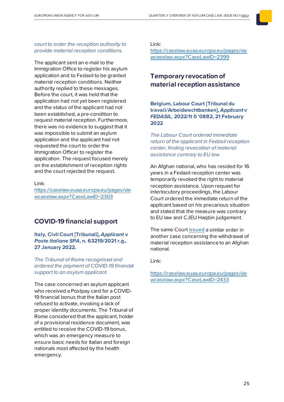# *court to order the reception authority to provide material reception conditions.*

The applicant sent an e-mail to the Immigration Office to register his asylum application and to Fedasil to be granted material reception conditions. Neither authority replied to these messages. Before the court, it was held that the application had not yet been registered and the status of the applicant had not been established, a pre-condition to request material reception. Furthermore, there was no evidence to suggest that it was impossible to submit an asylum application and the applicant had not requested the court to order the Immigration Officer to register the application. The request focused merely on the establishment of reception rights and the court rejected the request.

Link:

[https://caselaw.euaa.europa.eu/pages/vie](https://caselaw.euaa.europa.eu/pages/viewcaselaw.aspx?CaseLawID=2303) [wcaselaw.aspx?CaseLawID=2303](https://caselaw.euaa.europa.eu/pages/viewcaselaw.aspx?CaseLawID=2303)

# <span id="page-24-0"></span>**COVID-19 financial support**

**Italy, Civil Court [Tribunali],** *Applicant* **v**  *Poste Italiane SPA***, n. 63219/2021 r.g., 27 January 2022.**

*The Tribunal of Rome recognised and ordered the payment of COVID-19 financial support to an asylum applicant.*

The case concerned an asylum applicant who received a Postpay card for a COVID-19 financial bonus that the Italian post refused to activate, invoking a lack of proper identity documents. The Tribunal of Rome considered that the applicant, holder of a provisional residence document, was entitled to receive the COVID-19 bonus, which was an emergency measure to ensure basic needs for Italian and foreign nationals most affected by the health emergency.

Link:

[https://caselaw.euaa.europa.eu/pages/vie](https://caselaw.euaa.europa.eu/pages/viewcaselaw.aspx?CaseLawID=2399) [wcaselaw.aspx?CaseLawID=2399](https://caselaw.euaa.europa.eu/pages/viewcaselaw.aspx?CaseLawID=2399)

# <span id="page-24-1"></span>**Temporary revocation of material reception assistance**

**Belgium, Labour Court [Tribunal du travail/Arbeidsrechtbanken],** *Applicant v FEDASIL***, 2022/ft 0 '0882, 21 February 2022**

*The Labour Court ordered immediate return of the applicant in Fedasil reception center, finding revocation of material assistance contrary to EU law*

An Afghan national, who has resided for 16 years in a Fedasil reception center was temporarily revoked the right to material reception assistance. Upon request for interlocutory proceedings, the Labour Court ordered the immediate return of the applicant based on his precarious situation and stated that the measure was contrary to EU law and CJE[U Haqbin](https://caselaw.euaa.europa.eu/pages/viewcaselaw.aspx?CaseLawID=853) judgement.

The same Cour[t issued](https://caselaw.euaa.europa.eu/pages/viewcaselaw.aspx?CaseLawID=2434&returnurl=/pages/managecaselaw.aspx) a similar order in another case concerning the withdrawal of material reception assistance to an Afghan national.

Link: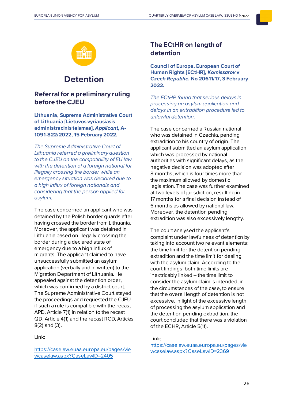

# **Detention**

# <span id="page-25-1"></span><span id="page-25-0"></span>**Referral for a preliminary ruling before the CJEU**

**Lithuania, Supreme Administrative Court of Lithuania [Lietuvos vyriausiasis administracinis teismas],** *Applicant***, A-1091-822/2022, 15 February 2022.**

*The Supreme Administrative Court of Lithuania referred a preliminary question to the CJEU on the compatibility of EU law with the detention of a foreign national for illegally crossing the border while an emergency situation was declared due to a high influx of foreign nationals and considering that the person applied for asylum.*

The case concerned an applicant who was detained by the Polish border guards after having crossed the border from Lithuania. Moreover, the applicant was detained in Lithuania based on illegally crossing the border during a declared state of emergency due to a high influx of migrants. The applicant claimed to have unsuccessfully submitted an asylum application (verbally and in written) to the Migration Department of Lithuania. He appealed against the detention order, which was confirmed by a district court. The Supreme Administrative Court stayed the proceedings and requested the CJEU if such a rule is compatible with the recast APD, Article 7(1) in relation to the recast QD, Article 4(1) and the recast RCD, Articles 8(2) and (3).

Link:

[https://caselaw.euaa.europa.eu/pages/vie](https://caselaw.euaa.europa.eu/pages/viewcaselaw.aspx?CaseLawID=2405) [wcaselaw.aspx?CaseLawID=2405](https://caselaw.euaa.europa.eu/pages/viewcaselaw.aspx?CaseLawID=2405)

# <span id="page-25-2"></span>**The ECtHR on length of detention**

**Council of Europe, European Court of Human Rights [ECtHR],** *Komissarov* **v**  *Czech Republic***, No 20611/17, 3 February 2022.**

*The ECtHR found that serious delays in processing an asylum application and delays in an extradition procedure led to unlawful detention.*

The case concerned a Russian national who was detained in Czechia, pending extradition to his country of origin. The applicant submitted an asylum application which was processed by national authorities with significant delays, as the negative decision was adopted after 8 months, which is four times more than the maximum allowed by domestic legislation. The case was further examined at two levels of jurisdiction, resulting in 17 months for a final decision instead of 6 months as allowed by national law. Moreover, the detention pending extradition was also excessively lengthy.

The court analysed the applicant's complaint under lawfulness of detention by taking into account two relevant elements: the time limit for the detention pending extradition and the time limit for dealing with the asylum claim. According to the court findings, both time limits are inextricably linked – the time limit to consider the asylum claim is intended, in the circumstances of the case, to ensure that the overall length of detention is not excessive. In light of the excessive length of processing the asylum application and the detention pending extradition, the court concluded that there was a violation of the ECHR, Article 5(1f).

# Link: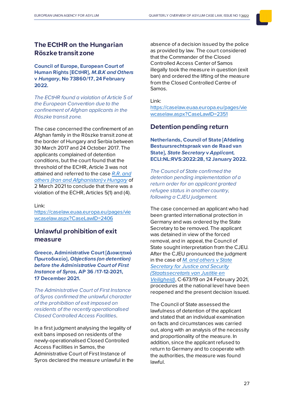# <span id="page-26-0"></span>**The ECtHR on the Hungarian Röszke transit zone**

**Council of Europe, European Court of Human Rights [ECtHR],** *M.B.K and Others*  **v** *Hungary***, No 73860/17, 24 February 2022.**

*The ECtHR found a violation of Article 5 of the European Convention due to the confinement of Afghan applicants in the Röszke transit zone.*

The case concerned the confinement of an Afghan family in the Röszke transit zone at the border of Hungary and Serbia between 30 March 2017 and 24 October 2017. The applicants complained of detention conditions, but the court found that the threshold of the ECHR, Article 3 was not attained and referred to the case *[R.R. and](https://caselaw.euaa.europa.eu/pages/viewcaselaw.aspx?CaseLawID=1617)  [others \(Iran and Afghanistan\)](https://caselaw.euaa.europa.eu/pages/viewcaselaw.aspx?CaseLawID=1617)* v *Hungary* of 2 March 2021 to conclude that there was a violation of the ECHR, Articles 5(1) and (4).

Link:

[https://caselaw.euaa.europa.eu/pages/vie](https://caselaw.euaa.europa.eu/pages/viewcaselaw.aspx?CaseLawID=2406) [wcaselaw.aspx?CaseLawID=2406](https://caselaw.euaa.europa.eu/pages/viewcaselaw.aspx?CaseLawID=2406)

# <span id="page-26-1"></span>**Unlawful prohibition of exit measure**

**Greece, Administrative Court [Διοικητικό Πρωτοδικείο],** *Objections (on detention) before the Administrative Court of First Instance of Syros,* **ΑΡ 36 /17-12-2021, 17 December 2021.**

*The Administrative Court of First Instance of Syros confirmed the unlawful character of the prohibition of exit imposed on residents of the recently operationalised Closed Controlled Access Facilities.*

In a first judgment analysing the legality of exit bans imposed on residents of the newly-operationalised Closed Controlled Access Facilities in Samos, the Administrative Court of First Instance of Syros declared the measure unlawful in the

absence of a decision issued by the police as provided by law. The court considered that the Commander of the Closed Controlled Access Center of Samos illegally took the measure in question (exit ban) and ordered the lifting of the measure from the Closed Controlled Centre of Samos.

Link:

[https://caselaw.euaa.europa.eu/pages/vie](https://caselaw.euaa.europa.eu/pages/viewcaselaw.aspx?CaseLawID=2351) [wcaselaw.aspx?CaseLawID=2351](https://caselaw.euaa.europa.eu/pages/viewcaselaw.aspx?CaseLawID=2351)

# <span id="page-26-2"></span>**Detention pending return**

**Netherlands, Council of State [Afdeling Bestuursrechtspraak van de Raad van State],** *State Secretary* **v** *Applicant***, ECLI:NL:RVS:2022:28, 12 January 2022.**

*The Council of State confirmed the detention pending implementation of a return order for an applicant granted refugee status in another country, following a CJEU judgement.*

The case concerned an applicant who had been granted international protection in Germany and was ordered by the State Secretary to be removed. The applicant was detained in view of the forced removal, and in appeal, the Council of State sought interpretation from the CJEU. After the CJEU pronounced the judgment in the case of *[M. and others](https://caselaw.euaa.europa.eu/pages/viewcaselaw.aspx?CaseLawID=1614)* v *State [Secretary for Justice and Security](https://caselaw.euaa.europa.eu/pages/viewcaselaw.aspx?CaseLawID=1614)  [\(Staatssecretaris van Justitie en](https://caselaw.euaa.europa.eu/pages/viewcaselaw.aspx?CaseLawID=1614)  [Veiligheid\)](https://caselaw.euaa.europa.eu/pages/viewcaselaw.aspx?CaseLawID=1614)*, C-673/19 on 24 February 2021,

procedures at the national level have been reopened and the present decision issued.

The Council of State assessed the lawfulness of detention of the applicant and stated that an individual examination on facts and circumstances was carried out, along with an analysis of the necessity and proportionality of the measure. In addition, since the applicant refused to return to Germany and to cooperate with the authorities, the measure was found lawful.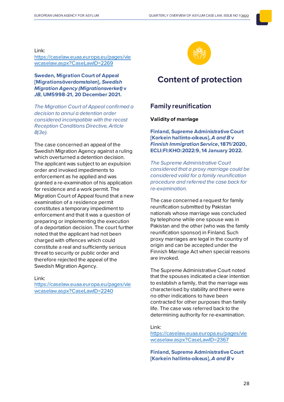Link:

[https://caselaw.euaa.europa.eu/pages/vie](https://caselaw.euaa.europa.eu/pages/viewcaselaw.aspx?CaseLawID=2269) [wcaselaw.aspx?CaseLawID=2269](https://caselaw.euaa.europa.eu/pages/viewcaselaw.aspx?CaseLawID=2269)

**Sweden, Migration Court of Appeal [Migrationsöverdomstolen],** *Swedish Migration Agency (Migrationsverket)* **v**  *JB***, UM5998-21, 20 December 2021.** 

*The Migration Court of Appeal confirmed a decision to annul a detention order considered incompatible with the recast Reception Conditions Directive, Article 8(3e).*

The case concerned an appeal of the Swedish Migration Agency against a ruling which overturned a detention decision. The applicant was subject to an expulsion order and invoked impediments to enforcement as he applied and was granted a re-examination of his application for residence and a work permit. The Migration Court of Appeal found that a new examination of a residence permit constitutes a temporary impediment to enforcement and that it was a question of preparing or implementing the execution of a deportation decision. The court further noted that the applicant had not been charged with offences which could constitute a real and sufficiently serious threat to security or public order and therefore rejected the appeal of the Swedish Migration Agency.

Link:

[https://caselaw.euaa.europa.eu/pages/vie](https://caselaw.euaa.europa.eu/pages/viewcaselaw.aspx?CaseLawID=2240) [wcaselaw.aspx?CaseLawID=2240](https://caselaw.euaa.europa.eu/pages/viewcaselaw.aspx?CaseLawID=2240)



# <span id="page-27-0"></span>**Content of protection**

# <span id="page-27-1"></span>**Family reunification**

# **Validity of marriage**

**Finland, Supreme Administrative Court [Korkein hallinto-oikeus],** *A and B* **v**  *Finnish Immigration Service***, 1871/2020, ECLI:FI:KHO:2022:9, 14 January 2022.**

*The Supreme Administrative Court considered that a proxy marriage could be considered valid for a family reunification procedure and referred the case back for re-examination.*

The case concerned a request for family reunification submitted by Pakistan nationals whose marriage was concluded by telephone while one spouse was in Pakistan and the other (who was the family reunification sponsor) in Finland. Such proxy marriages are legal in the country of origin and can be accepted under the Finnish Marriage Act when special reasons are invoked.

The Supreme Administrative Court noted that the spouses indicated a clear intention to establish a family, that the marriage was characterised by stability and there were no other indications to have been contracted for other purposes than family life. The case was referred back to the determining authority for re-examination.

## Link:

[https://caselaw.euaa.europa.eu/pages/vie](https://caselaw.euaa.europa.eu/pages/viewcaselaw.aspx?CaseLawID=2367) [wcaselaw.aspx?CaseLawID=2367](https://caselaw.euaa.europa.eu/pages/viewcaselaw.aspx?CaseLawID=2367)

**Finland, Supreme Administrative Court [Korkein hallinto-oikeus],** *A and B* **v**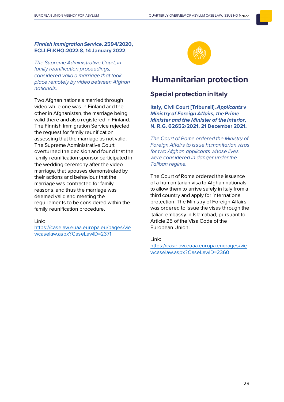# *Finnish Immigration Service,* **2594/2020, ECLI:FI:KHO:2022:8, 14 January 2022**.

*The Supreme Administrative Court, in family reunification proceedings, considered valid a marriage that took place remotely by video between Afghan nationals.*

Two Afghan nationals married through video while one was in Finland and the other in Afghanistan, the marriage being valid there and also registered in Finland. The Finnish Immigration Service rejected the request for family reunification assessing that the marriage as not valid. The Supreme Administrative Court overturned the decision and found that the family reunification sponsor participated in the wedding ceremony after the video marriage, that spouses demonstrated by their actions and behaviour that the marriage was contracted for family reasons, and thus the marriage was deemed valid and meeting the requirements to be considered within the family reunification procedure.

Link:

[https://caselaw.euaa.europa.eu/pages/vie](https://caselaw.euaa.europa.eu/pages/viewcaselaw.aspx?CaseLawID=2371) [wcaselaw.aspx?CaseLawID=2371](https://caselaw.euaa.europa.eu/pages/viewcaselaw.aspx?CaseLawID=2371)



# <span id="page-28-0"></span>**Humanitarian protection**

# <span id="page-28-1"></span>**Special protection in Italy**

**Italy, Civil Court [Tribunali],** *Applicants* **v**  *Ministry of Foreign Affairs, the Prime Minister and the Minister of the Interior***, N. R.G. 62652/2021, 21 December 2021.**

*The Court of Rome ordered the Ministry of Foreign Affairs to issue humanitarian visas for two Afghan applicants whose lives were considered in danger under the Taliban regime.*

The Court of Rome ordered the issuance of a humanitarian visa to Afghan nationals to allow them to arrive safely in Italy from a third country and apply for international protection. The Ministry of Foreign Affairs was ordered to issue the visas through the Italian embassy in Islamabad, pursuant to Article 25 of the Visa Code of the European Union.

Link: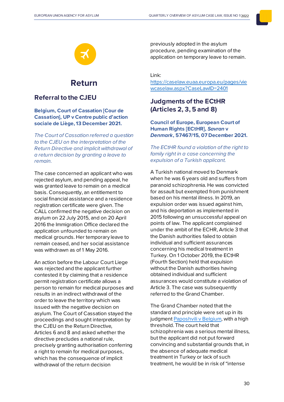

# **Return**

# <span id="page-29-1"></span><span id="page-29-0"></span>**Referral to the CJEU**

# **Belgium, Court of Cassation [Cour de Cassation], [UP v Centre public d'action](https://caselaw.euaa.europa.eu/pages/viewcaselaw.aspx?CaseLawID=2401)  [sociale de Liège](https://caselaw.euaa.europa.eu/pages/viewcaselaw.aspx?CaseLawID=2401), 13 December 2021.**

*The Court of Cassation referred a question to the CJEU on the interpretation of the Return Directive and implicit withdrawal of a return decision by granting a leave to remain.*

The case concerned an applicant who was rejected asylum, and pending appeal, he was granted leave to remain on a medical basis. Consequently, an entitlement to social financial assistance and a residence registration certificate were given. The CALL confirmed the negative decision on asylum on 22 July 2015, and on 20 April 2016 the Immigration Office declared the application unfounded to remain on medical grounds. Her temporary leave to remain ceased, and her social assistance was withdrawn as of 1 May 2016.

An action before the Labour Court Liege was rejected and the applicant further contested it by claiming that a residence permit registration certificate allows a person to remain for medical purposes and results in an indirect withdrawal of the order to leave the territory which was issued with the negative decision on asylum. The Court of Cassation stayed the proceedings and sought interpretation by the CJEU on the Return Directive, Articles 6 and 8 and asked whether the directive precludes a national rule, precisely granting authorisation conferring a right to remain for medical purposes, which has the consequence of implicit withdrawal of the return decision

previously adopted in the asylum procedure, pending examination of the application on temporary leave to remain.

Link:

[https://caselaw.euaa.europa.eu/pages/vie](https://caselaw.euaa.europa.eu/pages/viewcaselaw.aspx?CaseLawID=2401) [wcaselaw.aspx?CaseLawID=2401](https://caselaw.euaa.europa.eu/pages/viewcaselaw.aspx?CaseLawID=2401)

# <span id="page-29-2"></span>**Judgments of the ECtHR (Articles 2, 3, 5 and 8)**

# **Council of Europe, European Court of Human Rights [ECtHR],** *Savran* **v**  *Denmark***, 57467/15, 07 December 2021.**

# *The ECtHR found a violation of the right to family right in a case concerning the expulsion of a Turkish applicant.*

A Turkish national moved to Denmark when he was 6 years old and suffers from paranoid schizophrenia. He was convicted for assault but exempted from punishment based on his mental illness. In 2019, an expulsion order was issued against him, and his deportation as implemented in 2015 following an unsuccessful appeal on points of law. The applicant complained under the ambit of the ECHR, Article 3 that the Danish authorities failed to obtain individual and sufficient assurances concerning his medical treatment in Turkey. On 1 October 2019, the ECtHR (Fourth Section) held that expulsion without the Danish authorities having obtained individual and sufficient assurances would constitute a violation of Article 3. The case was subsequently referred to the Grand Chamber.

The Grand Chamber noted that the standard and principle were set up in its judgmen[t Paposhvili](https://caselaw.euaa.europa.eu/pages/viewcaselaw.aspx?CaseLawID=890&returnurl=/pages/searchresults.aspx) v Belgium, with a high threshold. The court held that schizophrenia was a serious mental illness, but the applicant did not put forward convincing and substantial grounds that, in the absence of adequate medical treatment in Turkey or lack of such treatment, he would be in risk of "intense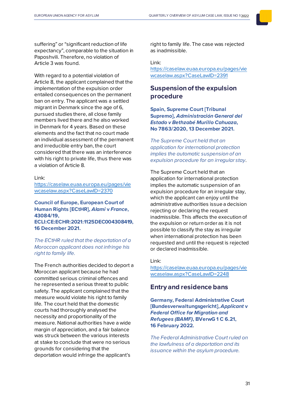suffering" or "significant reduction of life expectancy", comparable to the situation in Paposhvili. Therefore, no violation of Article 3 was found.

With regard to a potential violation of Article 8, the applicant complained that the implementation of the expulsion order entailed consequences on the permanent ban on entry. The applicant was a settled migrant in Denmark since the age of 6, pursued studies there, all close family members lived there and he also worked in Denmark for 4 years. Based on these elements and the fact that no court made an individual assessment of the permanent and irreducible entry ban, the court considered that there was an interference with his right to private life, thus there was a violation of Article 8.

#### Link:

[https://caselaw.euaa.europa.eu/pages/vie](https://caselaw.euaa.europa.eu/pages/viewcaselaw.aspx?CaseLawID=2370) [wcaselaw.aspx?CaseLawID=2370](https://caselaw.euaa.europa.eu/pages/viewcaselaw.aspx?CaseLawID=2370)

**Council of Europe, European Court of Human Rights [ECtHR],** *Alami* **v** *[France](https://caselaw.euaa.europa.eu/pages/viewcaselaw.aspx?CaseLawID=2391)***, 43084/19, ECLI:CE:ECHR:2021:1125DEC004308419, 16 December 2021.**

*The ECtHR ruled that the deportation of a Moroccan applicant does not infringe his right to family life.*

The French authorities decided to deport a Moroccan applicant because he had committed serious criminal offences and he represented a serious threat to public safety. The applicant complained that the measure would violate his right to family life. The court held that the domestic courts had thoroughly analysed the necessity and proportionality of the measure. National authorities have a wide margin of appreciation, and a fair balance was struck between the various interests at stake to conclude that were no serious grounds for considering that the deportation would infringe the applicant's

right to family life. The case was rejected as inadmissible.

#### Link:

[https://caselaw.euaa.europa.eu/pages/vie](https://caselaw.euaa.europa.eu/pages/viewcaselaw.aspx?CaseLawID=2391) [wcaselaw.aspx?CaseLawID=2391](https://caselaw.euaa.europa.eu/pages/viewcaselaw.aspx?CaseLawID=2391)

# <span id="page-30-0"></span>**Suspension of the expulsion procedure**

**Spain, Supreme Court [Tribunal Supremo],** *Administración General del Estado v Bethzabé Murillo Cahuaza***, No 7863/2020, 13 December 2021.**

*The Supreme Court held that an application for international protection implies the automatic suspension of an expulsion procedure for an irregular stay*.

The Supreme Court held that an application for international protection implies the automatic suspension of an expulsion procedure for an irregular stay, which the applicant can enjoy until the administrative authorities issue a decision rejecting or declaring the request inadmissible. This affects the execution of the expulsion or return order as it is not possible to classify the stay as irregular when international protection has been requested and until the request is rejected or declared inadmissible.

#### Link:

[https://caselaw.euaa.europa.eu/pages/vie](https://caselaw.euaa.europa.eu/pages/viewcaselaw.aspx?CaseLawID=2248) [wcaselaw.aspx?CaseLawID=2248](https://caselaw.euaa.europa.eu/pages/viewcaselaw.aspx?CaseLawID=2248)

# <span id="page-30-1"></span>**Entry and residence bans**

**Germany, Federal Administrative Court [Bundesverwaltungsgericht],** *[Applicant](https://caselaw.euaa.europa.eu/pages/viewcaselaw.aspx?CaseLawID=2373)* **v**  *[Federal Office for Migration and](https://caselaw.euaa.europa.eu/pages/viewcaselaw.aspx?CaseLawID=2373)  [Refugees \(BAMF\)](https://caselaw.euaa.europa.eu/pages/viewcaselaw.aspx?CaseLawID=2373)***, BVerwG 1 C 6.21, 16 February 2022.**

*The Federal Administrative Court ruled on the lawfulness of a deportation and its issuance within the asylum procedure.*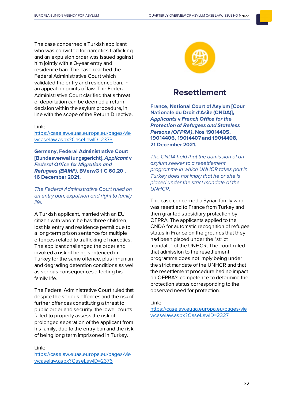The case concerned a Turkish applicant who was convicted for narcotics trafficking and an expulsion order was issued against him jointly with a 3-year entry and residence ban. The case reached the Federal Administrative Court which validated the entry and residence ban, in an appeal on points of law. The Federal Administrative Court clarified that a threat of deportation can be deemed a return decision within the asylum procedure, in line with the scope of the Return Directive.

#### Link:

[https://caselaw.euaa.europa.eu/pages/vie](https://caselaw.euaa.europa.eu/pages/viewcaselaw.aspx?CaseLawID=2373) [wcaselaw.aspx?CaseLawID=2373](https://caselaw.euaa.europa.eu/pages/viewcaselaw.aspx?CaseLawID=2373)

**Germany, Federal Administrative Court [Bundesverwaltungsgericht],** *Applicant* **v**  *Federal Office for Migration and Refugees (BAMF)***, BVerwG 1 C 60.20 , 16 December 2021.**

*The Federal Administrative Court ruled on an entry ban, expulsion and right to family life.*

A Turkish applicant, married with an EU citizen with whom he has three children, lost his entry and residence permit due to a long-term prison sentence for multiple offences related to trafficking of narcotics. The applicant challenged the order and invoked a risk of being sentenced in Turkey for the same offence, plus inhuman and degrading detention conditions as well as serious consequences affecting his family life.

The Federal Administrative Court ruled that despite the serious offences and the risk of further offences constituting a threat to public order and security, the lower courts failed to properly assess the risk of prolonged separation of the applicant from his family, due to the entry ban and the risk of being long term imprisoned in Turkey.

Link: [https://caselaw.euaa.europa.eu/pages/vie](https://caselaw.euaa.europa.eu/pages/viewcaselaw.aspx?CaseLawID=2376) [wcaselaw.aspx?CaseLawID=2376](https://caselaw.euaa.europa.eu/pages/viewcaselaw.aspx?CaseLawID=2376)



# **Resettlement**

<span id="page-31-0"></span>**France, National Court of Asylum [Cour Nationale du Droit d'Asile (CNDA)],**  *Applicants* **v** *French Office for the Protection of Refugees and Stateless Persons (OFPRA)***, Nos 19014405, 19014406, 19014407 and 19014408, 21 December 2021.** 

*The CNDA held that the admission of an asylum seeker to a resettlement programme in which UNHCR takes part in Turkey does not imply that he or she is placed under the strict mandate of the UNHCR.*

The case concerned a Syrian family who was resettled to France from Turkey and then granted subsidiary protection by OFPRA. The applicants applied to the CNDA for automatic recognition of refugee status in France on the grounds that they had been placed under the "strict mandate" of the UNHCR. The court ruled that admission to the resettlement programme does not imply being under the strict mandate of the UNHCR and that the resettlement procedure had no impact on OFPRA's competence to determine the protection status corresponding to the observed need for protection.

#### Link: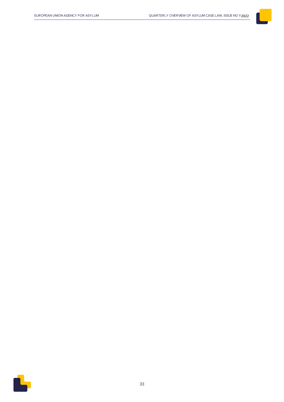

33